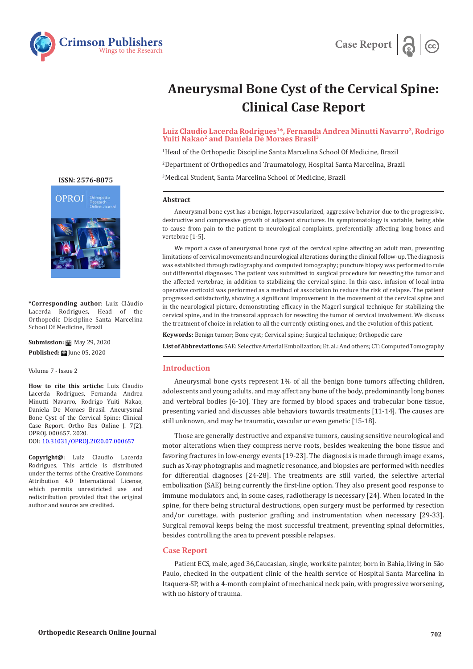



# **Aneurysmal Bone Cyst of the Cervical Spine: Clinical Case Report**

Luiz Claudio Lacerda Rodrigues<sup>1\*</sup>, Fernanda Andrea Minutti Navarro<sup>2</sup>, Rodrigo Yuiti Nakao<sup>2</sup> and Daniela De Moraes Brasil<sup>3</sup>

1 Head of the Orthopedic Discipline Santa Marcelina School Of Medicine, Brazil

2 Department of Orthopedics and Traumatology, Hospital Santa Marcelina, Brazil

3 Medical Student, Santa Marcelina School of Medicine, Brazil

#### **Abstract**

Aneurysmal bone cyst has a benign, hypervascularized, aggressive behavior due to the progressive, destructive and compressive growth of adjacent structures. Its symptomatology is variable, being able to cause from pain to the patient to neurological complaints, preferentially affecting long bones and vertebrae [1-5].

We report a case of aneurysmal bone cyst of the cervical spine affecting an adult man, presenting limitations of cervical movements and neurological alterations during the clinical follow-up. The diagnosis was established through radiography and computed tomography; puncture biopsy was performed to rule out differential diagnoses. The patient was submitted to surgical procedure for resecting the tumor and the affected vertebrae, in addition to stabilizing the cervical spine. In this case, infusion of local intra operative corticoid was performed as a method of association to reduce the risk of relapse. The patient progressed satisfactorily, showing a significant improvement in the movement of the cervical spine and in the neurological picture, demonstrating efficacy in the Magerl surgical technique for stabilizing the cervical spine, and in the transoral approach for resecting the tumor of cervical involvement. We discuss the treatment of choice in relation to all the currently existing ones, and the evolution of this patient.

**Keywords:** Benign tumor; Bone cyst; Cervical spine; Surgical technique; Orthopedic care

**List of Abbreviations:** SAE: Selective Arterial Embolization; Et. al.: And others; CT: Computed Tomography

#### **Introduction**

Aneurysmal bone cysts represent 1% of all the benign bone tumors affecting children, adolescents and young adults, and may affect any bone of the body, predominantly long bones and vertebral bodies [6-10]. They are formed by blood spaces and trabecular bone tissue, presenting varied and discusses able behaviors towards treatments [11-14]. The causes are still unknown, and may be traumatic, vascular or even genetic [15-18].

Those are generally destructive and expansive tumors, causing sensitive neurological and motor alterations when they compress nerve roots, besides weakening the bone tissue and favoring fractures in low-energy events [19-23]. The diagnosis is made through image exams, such as X-ray photographs and magnetic resonance, and biopsies are performed with needles for differential diagnoses [24-28]. The treatments are still varied, the selective arterial embolization (SAE) being currently the first-line option. They also present good response to immune modulators and, in some cases, radiotherapy is necessary [24]. When located in the spine, for there being structural destructions, open surgery must be performed by resection and/or curettage, with posterior grafting and instrumentation when necessary [29-33]. Surgical removal keeps being the most successful treatment, preventing spinal deformities, besides controlling the area to prevent possible relapses.

## **Case Report**

Patient ECS, male, aged 36,Caucasian, single, worksite painter, born in Bahia, living in São Paulo, checked in the outpatient clinic of the health service of Hospital Santa Marcelina in Itaquera-SP, with a 4-month complaint of mechanical neck pain, with progressive worsening, with no history of trauma.

**[ISSN: 2576-8875](https://www.crimsonpublishers.com/oproj/)**



**\*Corresponding author**: Luiz Cláudio Lacerda Rodrigues, Head of the Orthopedic Discipline Santa Marcelina School Of Medicine, Brazil

**Submission:** ■ May 29, 2020 **Published: | June 05, 2020** 

Volume 7 - Issue 2

**How to cite this article:** Luiz Claudio Lacerda Rodrigues, Fernanda Andrea Minutti Navarro, Rodrigo Yuiti Nakao, Daniela De Moraes Brasil. Aneurysmal Bone Cyst of the Cervical Spine: Clinical Case Report. Ortho Res Online J. 7(2). OPROJ. 000657. 2020. DOI: [10.31031/OPROJ.2020.07.000657](http://dx.doi.org/10.31031/OPROJ.2020.07.000657)

**Copyright@**: Luiz Claudio Lacerda Rodrigues, This article is distributed under the terms of the Creative Commons Attribution 4.0 International License, which permits unrestricted use and redistribution provided that the original author and source are credited.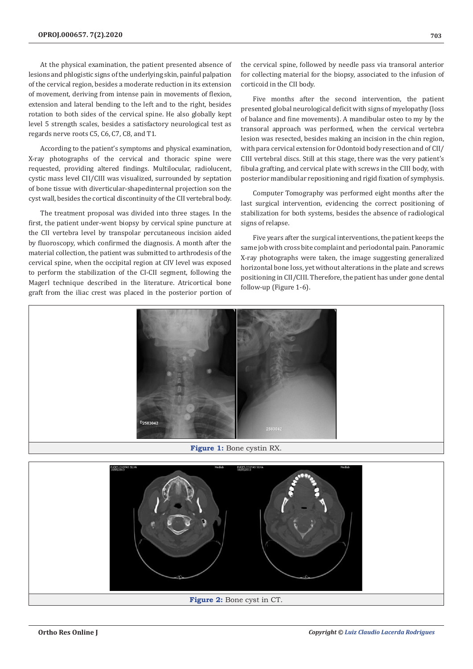At the physical examination, the patient presented absence of lesions and phlogistic signs of the underlying skin, painful palpation of the cervical region, besides a moderate reduction in its extension of movement, deriving from intense pain in movements of flexion, extension and lateral bending to the left and to the right, besides rotation to both sides of the cervical spine. He also globally kept level 5 strength scales, besides a satisfactory neurological test as regards nerve roots C5, C6, C7, C8, and T1.

According to the patient's symptoms and physical examination, X-ray photographs of the cervical and thoracic spine were requested, providing altered findings. Multilocular, radiolucent, cystic mass level CII/CIII was visualized, surrounded by septation of bone tissue with diverticular-shapedinternal projection son the cyst wall, besides the cortical discontinuity of the CII vertebral body.

The treatment proposal was divided into three stages. In the first, the patient under-went biopsy by cervical spine puncture at the CII vertebra level by transpolar percutaneous incision aided by fluoroscopy, which confirmed the diagnosis. A month after the material collection, the patient was submitted to arthrodesis of the cervical spine, when the occipital region at CIV level was exposed to perform the stabilization of the CI-CII segment, following the Magerl technique described in the literature. Atricortical bone graft from the iliac crest was placed in the posterior portion of the cervical spine, followed by needle pass via transoral anterior for collecting material for the biopsy, associated to the infusion of corticoid in the CII body.

Five months after the second intervention, the patient presented global neurological deficit with signs of myelopathy (loss of balance and fine movements). A mandibular osteo to my by the transoral approach was performed, when the cervical vertebra lesion was resected, besides making an incision in the chin region, with para cervical extension for Odontoid body resection and of CII/ CIII vertebral discs. Still at this stage, there was the very patient's fibula grafting, and cervical plate with screws in the CIII body, with posterior mandibular repositioning and rigid fixation of symphysis.

Computer Tomography was performed eight months after the last surgical intervention, evidencing the correct positioning of stabilization for both systems, besides the absence of radiological signs of relapse.

Five years after the surgical interventions, the patient keeps the same job with cross bite complaint and periodontal pain. Panoramic X-ray photographs were taken, the image suggesting generalized horizontal bone loss, yet without alterations in the plate and screws positioning in CII/CIII. Therefore, the patient has under gone dental follow-up (Figure 1-6).



**Figure 1:** Bone cystin RX.

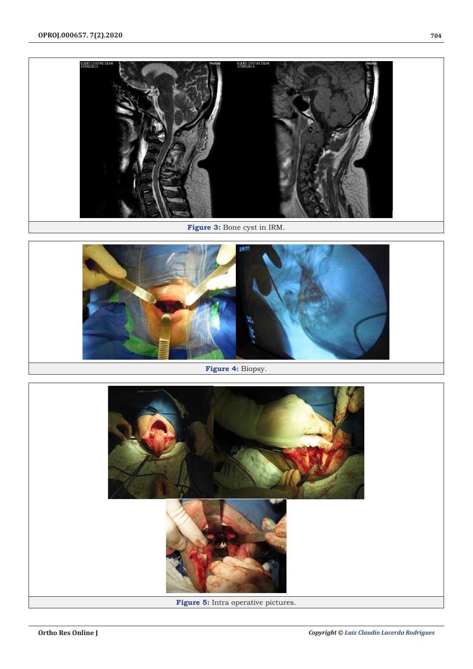

**Figure 3:** Bone cyst in IRM.



**Figure 4:** Biopsy.

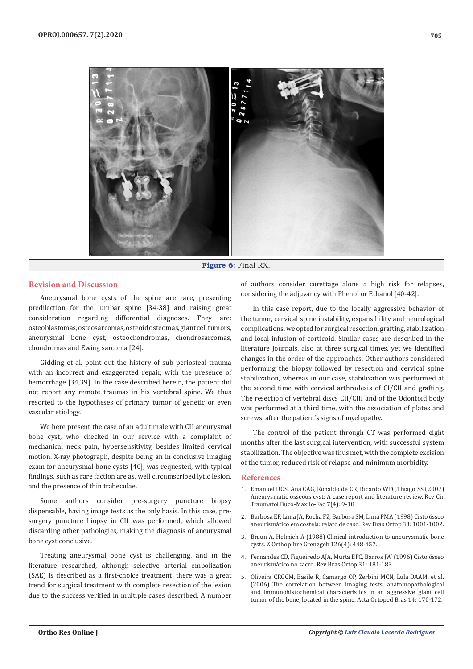

## **Revision and Discussion**

Aneurysmal bone cysts of the spine are rare, presenting predilection for the lumbar spine [34-38] and raising great consideration regarding differential diagnoses. They are: osteoblastomas, osteosarcomas, osteoid osteomas, giant cell tumors, aneurysmal bone cyst, osteochondromas, chondrosarcomas, chondromas and Ewing sarcoma [24].

Gidding et al. point out the history of sub periosteal trauma with an incorrect and exaggerated repair, with the presence of hemorrhage [34,39]. In the case described herein, the patient did not report any remote traumas in his vertebral spine. We thus resorted to the hypotheses of primary tumor of genetic or even vascular etiology.

We here present the case of an adult male with CII aneurysmal bone cyst, who checked in our service with a complaint of mechanical neck pain, hypersensitivity, besides limited cervical motion. X-ray photograph, despite being an in conclusive imaging exam for aneurysmal bone cysts [40], was requested, with typical findings, such as rare faction are as, well circumscribed lytic lesion, and the presence of thin trabeculae.

Some authors consider pre-surgery puncture biopsy dispensable, having image tests as the only basis. In this case, presurgery puncture biopsy in CII was performed, which allowed discarding other pathologies, making the diagnosis of aneurysmal bone cyst conclusive.

Treating aneurysmal bone cyst is challenging, and in the literature researched, although selective arterial embolization (SAE) is described as a first-choice treatment, there was a great trend for surgical treatment with complete resection of the lesion due to the success verified in multiple cases described. A number

of authors consider curettage alone a high risk for relapses, considering the adjuvancy with Phenol or Ethanol [40-42].

In this case report, due to the locally aggressive behavior of the tumor, cervical spine instability, expansibility and neurological complications, we opted for surgical resection, grafting, stabilization and local infusion of corticoid. Similar cases are described in the literature journals, also at three surgical times, yet we identified changes in the order of the approaches. Other authors considered performing the biopsy followed by resection and cervical spine stabilization, whereas in our case, stabilization was performed at the second time with cervical arthrodesis of CI/CII and grafting. The resection of vertebral discs CII/CIII and of the Odontoid body was performed at a third time, with the association of plates and screws, after the patient's signs of myelopathy.

The control of the patient through CT was performed eight months after the last surgical intervention, with successful system stabilization. The objective was thus met, with the complete excision of the tumor, reduced risk of relapse and minimum morbidity.

### **References**

- 1. Emanuel DOS, Ana CAG, Ronaldo de CR, Ricardo WFC,Thiago SS (2007) Aneurysmatic osseous cyst: A case report and literature review. Rev Cir Traumatol Buco-Maxilo-Fac 7(4): 9-18
- 2. [Barbosa EF, Lima JA, Rocha FZ, Barbosa SM, Lima PMA \(1998\) Cisto ósseo](http://www.revistacirurgiabmf.com/2007/v7n4/1.pdf) [aneurismático em costela: relato de caso. Rev Bras Ortop 33: 1001-1002.](http://www.revistacirurgiabmf.com/2007/v7n4/1.pdf)
- 3. [Braun A, Helmich A \(1988\) Clinical introduction to aneurysmatic bone](https://pubmed.ncbi.nlm.nih.gov/3051757/) [cysts. Z OrthopIhre Grenzgeb 126\(4\): 448-457.](https://pubmed.ncbi.nlm.nih.gov/3051757/)
- 4. [Fernandes CD, Figueiredo AJA, Murta EFC, Barros JW \(1996\) Cisto ósseo](https://pesquisa.bvsalud.org/portal/resource/pt/lil-212889) [aneurismático no sacro. Rev Bras Ortop 31: 181-183.](https://pesquisa.bvsalud.org/portal/resource/pt/lil-212889)
- 5. [Oliveira CRGCM, Basile R, Camargo OP, Zerbini MCN, Lula DAAM, et al.](https://www.scielo.br/pdf/aob/v14n3/en_a11v14n3.pdf) [\(2006\) The correlation between imaging tests, anatomopathological](https://www.scielo.br/pdf/aob/v14n3/en_a11v14n3.pdf) [and immunohistochemical characteristics in an aggressive giant cell](https://www.scielo.br/pdf/aob/v14n3/en_a11v14n3.pdf) [tumor of the bone, located in the spine. Acta Ortoped Bras 14: 170-172.](https://www.scielo.br/pdf/aob/v14n3/en_a11v14n3.pdf)